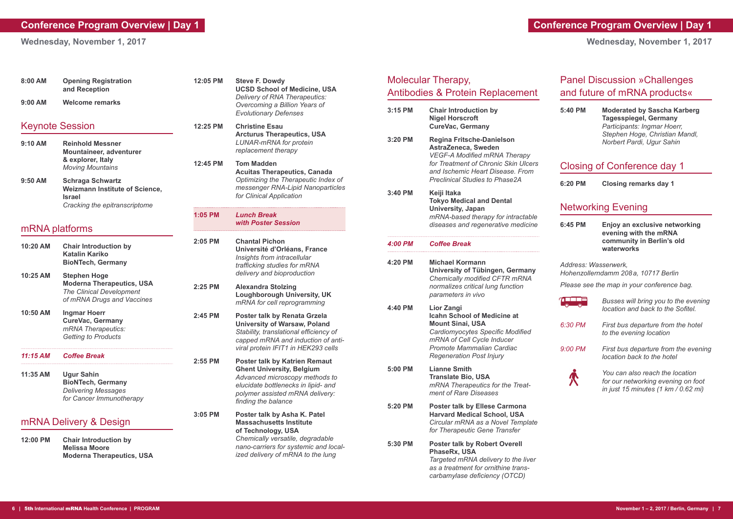**Wednesday, November 1, 2017**

|  | r                                      |
|--|----------------------------------------|
|  | <b>CONTRACTOR</b><br><b>CONTRACTOR</b> |

| 8:00 AM                | <b>Opening Registration</b><br>and Reception                                                                             |  |
|------------------------|--------------------------------------------------------------------------------------------------------------------------|--|
| $9:00$ AM              | <b>Welcome remarks</b>                                                                                                   |  |
| <b>Keynote Session</b> |                                                                                                                          |  |
| $9:10$ AM              | <b>Reinhold Messner</b><br>Mountaineer, adventurer<br>& explorer, Italy<br><b>Moving Mountains</b>                       |  |
| $9:50$ AM              | <b>Schraga Schwartz</b><br><b>Weizmann Institute of Science,</b><br><b>Israel</b><br>Cracking the epitranscriptome       |  |
| mRNA platforms         |                                                                                                                          |  |
| 10:20 AM               | <b>Chair Introduction by</b><br><b>Katalin Kariko</b><br><b>BioNTech, Germany</b>                                        |  |
| 10:25 AM               | <b>Stephen Hoge</b><br><b>Moderna Therapeutics, USA</b><br><b>The Clinical Development</b><br>of mRNA Drugs and Vaccines |  |
| 10:50 AM               | <b>Ingmar Hoerr</b><br><b>CureVac, Germany</b><br>mRNA Therapeutics:<br><b>Getting to Products</b>                       |  |
| 11:15 AM               | <b>Coffee Break</b>                                                                                                      |  |
| 11:35 AM               | <b>Ugur Sahin</b><br><b>BioNTech, Germany</b><br><b>Delivering Messages</b><br>for Cancer Immunotherapy                  |  |
| mRNA Delivery & Design |                                                                                                                          |  |
| 12:00 PM               | <b>Chair Introduction by</b><br><b>Melissa Moore</b><br><b>Moderna Therapeutics, USA</b>                                 |  |

## **Conference Program Overview | Day 1**

**Wednesday, November 1, 2017**

# Molecular Therapy, Antibodies & Protein Replacement

|           | <b>Chair Introduction by</b><br><b>Nigel Horscroft</b><br><b>CureVac, Germany</b>                                                                                                                                   |
|-----------|---------------------------------------------------------------------------------------------------------------------------------------------------------------------------------------------------------------------|
| $3:20$ PM | <b>Regina Fritsche-Danielson</b><br>AstraZeneca, Sweden<br><b>VEGF-A Modified mRNA Therapy</b><br>for Treatment of Chronic Skin Ulcers<br>and Ischemic Heart Disease, From<br><b>Preclinical Studies to Phase2A</b> |
| 3:40 PM   | Keiji Itaka<br><b>Tokyo Medical and Dental</b><br><b>University, Japan</b><br>mRNA-based therapy for intractable<br>diseases and regenerative medicine                                                              |
| 4:00 PM   | <b>Coffee Break</b>                                                                                                                                                                                                 |
| 4:20 PM   | <b>Michael Kormann</b><br>University of Tübingen, Germany<br><b>Chemically modified CFTR mRNA</b><br>normalizes critical lung function<br>parameters in vivo                                                        |
|           |                                                                                                                                                                                                                     |
| 4:40 PM   | Lior Zangi<br><b>Icahn School of Medicine at</b><br><b>Mount Sinai, USA</b><br>Cardiomyocytes Specific Modified<br>mRNA of Cell Cycle Inducer<br>Promote Mammalian Cardiac<br><b>Regeneration Post Injury</b>       |
| 5:00 PM   | <b>Lianne Smith</b><br><b>Translate Bio, USA</b><br>mRNA Therapeutics for the Treat-<br>ment of Rare Diseases                                                                                                       |
| 5:20 PM   | <b>Poster talk by Ellese Carmona</b><br><b>Harvard Medical School, USA</b><br>Circular mRNA as a Novel Template<br>for Therapeutic Gene Transfer                                                                    |

| 12:05 PM  | <b>Steve F. Dowdy</b><br><b>UCSD School of Medicine, USA</b><br>Delivery of RNA Therapeutics:<br>Overcoming a Billion Years of<br><b>Evolutionary Defenses</b>                                              |
|-----------|-------------------------------------------------------------------------------------------------------------------------------------------------------------------------------------------------------------|
| 12:25 PM  | <b>Christine Esau</b><br><b>Arcturus Therapeutics, USA</b><br><b>LUNAR-mRNA for protein</b><br>replacement therapy                                                                                          |
| 12:45 PM  | <b>Tom Madden</b><br><b>Acuitas Therapeutics, Canada</b><br>Optimizing the Therapeutic Index of<br>messenger RNA-Lipid Nanoparticles<br>for Clinical Application                                            |
| 1:05 PM   | <b>Lunch Break</b><br>with Poster Session                                                                                                                                                                   |
| 2:05 PM   | <b>Chantal Pichon</b><br>Université d'Orléans, France<br>Insights from intracellular<br>trafficking studies for mRNA<br>delivery and bioproduction                                                          |
| 2:25 PM   | <b>Alexandra Stolzing</b><br><b>Loughborough University, UK</b><br>mRNA for cell reprogramming                                                                                                              |
| 2:45 PM   | <b>Poster talk by Renata Grzela</b><br><b>University of Warsaw, Poland</b><br>Stability, translational efficiency of<br>capped mRNA and induction of anti-<br>viral protein IFIT1 in HEK293 cells           |
| 2:55 PM   | <b>Poster talk by Katrien Remaut</b><br><b>Ghent University, Belgium</b><br>Advanced microscopy methods to<br>elucidate bottlenecks in lipid- and<br>polymer assisted mRNA delivery:<br>finding the balance |
| $3:05$ PM | Poster talk by Asha K. Patel<br><b>Massachusetts Institute</b><br>of Technology, USA<br>Chemically versatile, degradable<br>nano-carriers for systemic and local-<br>ized delivery of mRNA to the lung      |

# Panel Discussion »Challenges and future of mRNA products«

#### **5:40 PM Moderated by Sascha Karberg Tagesspiegel, Germany** *Participants: Ingmar Hoerr, Stephen Hoge, Christian Mandl, Norbert Pardi, Ugur Sahin*

### Closing of Conference day 1

**6:20 PM Closing remarks day 1** 

# Networking Evening

**6:45 PM Enjoy an exclusive networking evening with the mRNA community in Berlin's old waterworks**

*Address: Wasserwerk, Hohenzollerndamm 208 a, 10717 Berlin*

*Please see the map in your conference bag.*

|           | Busses will bring you to the evening<br>location and back to the Sofitel. |
|-----------|---------------------------------------------------------------------------|
| 6:30 PM   | First bus departure from the hotel<br>to the evening location             |
| $9:00$ PM | First bus departure from the evening<br>location back to the hotel        |
|           |                                                                           |



*You can also reach the location for our networking evening on foot in just 15 minutes (1 km / 0.62 mi)*